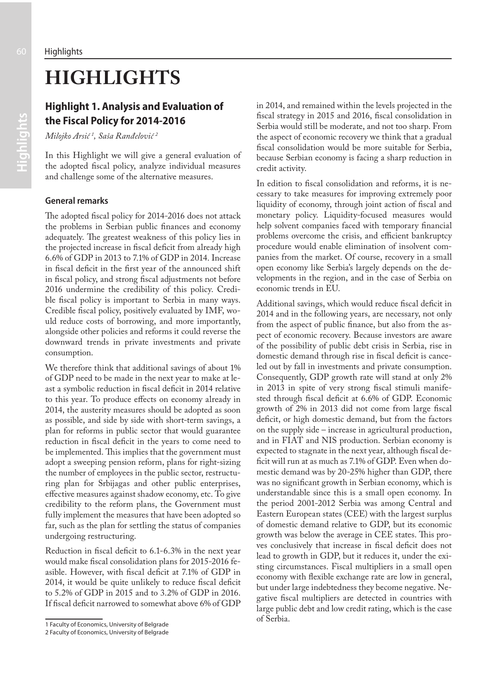# **HIGHLIGHTS**

## **Highlight 1. Analysis and Evaluation of the Fiscal Policy for 2014-2016**

*Milojko Arsić 1 , Saša Ranđelović 2*

In this Highlight we will give a general evaluation of the adopted fiscal policy, analyze individual measures and challenge some of the alternative measures.

### **General remarks**

The adopted fiscal policy for 2014-2016 does not attack the problems in Serbian public finances and economy adequately. The greatest weakness of this policy lies in the projected increase in fiscal deficit from already high 6.6% of GDP in 2013 to 7.1% of GDP in 2014. Increase in fiscal deficit in the first year of the announced shift in fiscal policy, and strong fiscal adjustments not before 2016 undermine the credibility of this policy. Credible fiscal policy is important to Serbia in many ways. Credible fiscal policy, positively evaluated by IMF, would reduce costs of borrowing, and more importantly, alongside other policies and reforms it could reverse the downward trends in private investments and private consumption.

We therefore think that additional savings of about 1% of GDP need to be made in the next year to make at least a symbolic reduction in fiscal deficit in 2014 relative to this year. To produce effects on economy already in 2014, the austerity measures should be adopted as soon as possible, and side by side with short-term savings, a plan for reforms in public sector that would guarantee reduction in fiscal deficit in the years to come need to be implemented. This implies that the government must adopt a sweeping pension reform, plans for right-sizing the number of employees in the public sector, restructuring plan for Srbijagas and other public enterprises, effective measures against shadow economy, etc. To give credibility to the reform plans, the Government must fully implement the measures that have been adopted so far, such as the plan for settling the status of companies undergoing restructuring.

Reduction in fiscal deficit to 6.1-6.3% in the next year would make fiscal consolidation plans for 2015-2016 feasible. However, with fiscal deficit at 7.1% of GDP in 2014, it would be quite unlikely to reduce fiscal deficit to 5.2% of GDP in 2015 and to 3.2% of GDP in 2016. If fiscal deficit narrowed to somewhat above 6% of GDP in 2014, and remained within the levels projected in the fiscal strategy in 2015 and 2016, fiscal consolidation in Serbia would still be moderate, and not too sharp. From the aspect of economic recovery we think that a gradual fiscal consolidation would be more suitable for Serbia, because Serbian economy is facing a sharp reduction in credit activity.

In edition to fiscal consolidation and reforms, it is necessary to take measures for improving extremely poor liquidity of economy, through joint action of fiscal and monetary policy. Liquidity-focused measures would help solvent companies faced with temporary financial problems overcome the crisis, and efficient bankruptcy procedure would enable elimination of insolvent companies from the market. Of course, recovery in a small open economy like Serbia's largely depends on the developments in the region, and in the case of Serbia on economic trends in EU.

Additional savings, which would reduce fiscal deficit in 2014 and in the following years, are necessary, not only from the aspect of public finance, but also from the aspect of economic recovery. Because investors are aware of the possibility of public debt crisis in Serbia, rise in domestic demand through rise in fiscal deficit is canceled out by fall in investments and private consumption. Consequently, GDP growth rate will stand at only 2% in 2013 in spite of very strong fiscal stimuli manifested through fiscal deficit at 6.6% of GDP. Economic growth of 2% in 2013 did not come from large fiscal deficit, or high domestic demand, but from the factors on the supply side – increase in agricultural production, and in FIAT and NIS production. Serbian economy is expected to stagnate in the next year, although fiscal deficit will run at as much as 7.1% of GDP. Even when domestic demand was by 20-25% higher than GDP, there was no significant growth in Serbian economy, which is understandable since this is a small open economy. In the period 2001-2012 Serbia was among Central and Eastern European states (CEE) with the largest surplus of domestic demand relative to GDP, but its economic growth was below the average in CEE states. This proves conclusively that increase in fiscal deficit does not lead to growth in GDP, but it reduces it, under the existing circumstances. Fiscal multipliers in a small open economy with flexible exchange rate are low in general, but under large indebtedness they become negative. Negative fiscal multipliers are detected in countries with large public debt and low credit rating, which is the case of Serbia.

<sup>1</sup> Faculty of Economics, University of Belgrade

<sup>2</sup> Faculty of Economics, University of Belgrade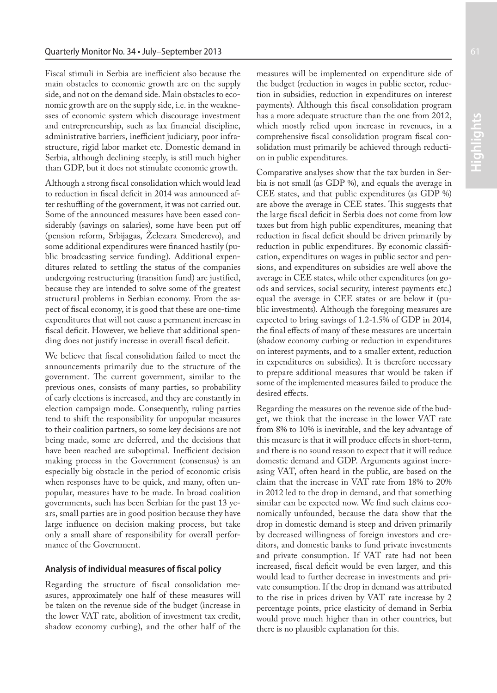Fiscal stimuli in Serbia are inefficient also because the main obstacles to economic growth are on the supply side, and not on the demand side. Main obstacles to economic growth are on the supply side, i.e. in the weaknesses of economic system which discourage investment and entrepreneurship, such as lax financial discipline, administrative barriers, inefficient judiciary, poor infrastructure, rigid labor market etc. Domestic demand in Serbia, although declining steeply, is still much higher than GDP, but it does not stimulate economic growth.

Although a strong fiscal consolidation which would lead to reduction in fiscal deficit in 2014 was announced after reshuffling of the government, it was not carried out. Some of the announced measures have been eased considerably (savings on salaries), some have been put off (pension reform, Srbijagas, Železara Smederevo), and some additional expenditures were financed hastily (public broadcasting service funding). Additional expenditures related to settling the status of the companies undergoing restructuring (transition fund) are justified, because they are intended to solve some of the greatest structural problems in Serbian economy. From the aspect of fiscal economy, it is good that these are one-time expenditures that will not cause a permanent increase in fiscal deficit. However, we believe that additional spending does not justify increase in overall fiscal deficit.

We believe that fiscal consolidation failed to meet the announcements primarily due to the structure of the government. The current government, similar to the previous ones, consists of many parties, so probability of early elections is increased, and they are constantly in election campaign mode. Consequently, ruling parties tend to shift the responsibility for unpopular measures to their coalition partners, so some key decisions are not being made, some are deferred, and the decisions that have been reached are suboptimal. Inefficient decision making process in the Government (consensus) is an especially big obstacle in the period of economic crisis when responses have to be quick, and many, often unpopular, measures have to be made. In broad coalition governments, such has been Serbian for the past 13 years, small parties are in good position because they have large influence on decision making process, but take only a small share of responsibility for overall performance of the Government.

#### **Analysis of individual measures of fiscal policy**

Regarding the structure of fiscal consolidation measures, approximately one half of these measures will be taken on the revenue side of the budget (increase in the lower VAT rate, abolition of investment tax credit, shadow economy curbing), and the other half of the

measures will be implemented on expenditure side of the budget (reduction in wages in public sector, reduction in subsidies, reduction in expenditures on interest payments). Although this fiscal consolidation program has a more adequate structure than the one from 2012, which mostly relied upon increase in revenues, in a comprehensive fiscal consolidation program fiscal consolidation must primarily be achieved through reduction in public expenditures.

Comparative analyses show that the tax burden in Serbia is not small (as GDP %), and equals the average in CEE states, and that public expenditures (as GDP %) are above the average in CEE states. This suggests that the large fiscal deficit in Serbia does not come from low taxes but from high public expenditures, meaning that reduction in fiscal deficit should be driven primarily by reduction in public expenditures. By economic classification, expenditures on wages in public sector and pensions, and expenditures on subsidies are well above the average in CEE states, while other expenditures (on goods and services, social security, interest payments etc.) equal the average in CEE states or are below it (public investments). Although the foregoing measures are expected to bring savings of 1.2-1.5% of GDP in 2014, the final effects of many of these measures are uncertain (shadow economy curbing or reduction in expenditures on interest payments, and to a smaller extent, reduction in expenditures on subsidies). It is therefore necessary to prepare additional measures that would be taken if some of the implemented measures failed to produce the desired effects.

Regarding the measures on the revenue side of the budget, we think that the increase in the lower VAT rate from 8% to 10% is inevitable, and the key advantage of this measure is that it will produce effects in short-term, and there is no sound reason to expect that it will reduce domestic demand and GDP. Arguments against increasing VAT, often heard in the public, are based on the claim that the increase in VAT rate from 18% to 20% in 2012 led to the drop in demand, and that something similar can be expected now. We find such claims economically unfounded, because the data show that the drop in domestic demand is steep and driven primarily by decreased willingness of foreign investors and creditors, and domestic banks to fund private investments and private consumption. If VAT rate had not been increased, fiscal deficit would be even larger, and this would lead to further decrease in investments and private consumption. If the drop in demand was attributed to the rise in prices driven by VAT rate increase by 2 percentage points, price elasticity of demand in Serbia would prove much higher than in other countries, but there is no plausible explanation for this.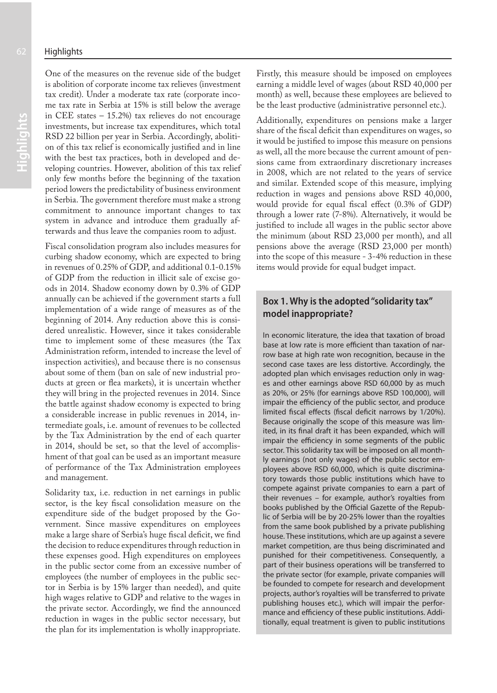One of the measures on the revenue side of the budget is abolition of corporate income tax relieves (investment tax credit). Under a moderate tax rate (corporate income tax rate in Serbia at 15% is still below the average in CEE states – 15.2%) tax relieves do not encourage investments, but increase tax expenditures, which total RSD 22 billion per year in Serbia. Accordingly, abolition of this tax relief is economically justified and in line with the best tax practices, both in developed and developing countries. However, abolition of this tax relief only few months before the beginning of the taxation period lowers the predictability of business environment in Serbia. The government therefore must make a strong commitment to announce important changes to tax system in advance and introduce them gradually afterwards and thus leave the companies room to adjust.

Fiscal consolidation program also includes measures for curbing shadow economy, which are expected to bring in revenues of 0.25% of GDP, and additional 0.1-0.15% of GDP from the reduction in illicit sale of excise goods in 2014. Shadow economy down by 0.3% of GDP annually can be achieved if the government starts a full implementation of a wide range of measures as of the beginning of 2014. Any reduction above this is considered unrealistic. However, since it takes considerable time to implement some of these measures (the Tax Administration reform, intended to increase the level of inspection activities), and because there is no consensus about some of them (ban on sale of new industrial products at green or flea markets), it is uncertain whether they will bring in the projected revenues in 2014. Since the battle against shadow economy is expected to bring a considerable increase in public revenues in 2014, intermediate goals, i.e. amount of revenues to be collected by the Tax Administration by the end of each quarter in 2014, should be set, so that the level of accomplishment of that goal can be used as an important measure of performance of the Tax Administration employees and management.

Solidarity tax, i.e. reduction in net earnings in public sector, is the key fiscal consolidation measure on the expenditure side of the budget proposed by the Government. Since massive expenditures on employees make a large share of Serbia's huge fiscal deficit, we find the decision to reduce expenditures through reduction in these expenses good. High expenditures on employees in the public sector come from an excessive number of employees (the number of employees in the public sector in Serbia is by 15% larger than needed), and quite high wages relative to GDP and relative to the wages in the private sector. Accordingly, we find the announced reduction in wages in the public sector necessary, but the plan for its implementation is wholly inappropriate.

Firstly, this measure should be imposed on employees earning a middle level of wages (about RSD 40,000 per month) as well, because these employees are believed to be the least productive (administrative personnel etc.).

Additionally, expenditures on pensions make a larger share of the fiscal deficit than expenditures on wages, so it would be justified to impose this measure on pensions as well, all the more because the current amount of pensions came from extraordinary discretionary increases in 2008, which are not related to the years of service and similar. Extended scope of this measure, implying reduction in wages and pensions above RSD 40,000, would provide for equal fiscal effect (0.3% of GDP) through a lower rate (7-8%). Alternatively, it would be justified to include all wages in the public sector above the minimum (about RSD 23,000 per month), and all pensions above the average (RSD 23,000 per month) into the scope of this measure - 3-4% reduction in these items would provide for equal budget impact.

## **Box 1. Why is the adopted "solidarity tax" model inappropriate?**

In economic literature, the idea that taxation of broad base at low rate is more efficient than taxation of narrow base at high rate won recognition, because in the second case taxes are less distortive. Accordingly, the adopted plan which envisages reduction only in wages and other earnings above RSD 60,000 by as much as 20%, or 25% (for earnings above RSD 100,000), will impair the efficiency of the public sector, and produce limited fiscal effects (fiscal deficit narrows by 1/20%). Because originally the scope of this measure was limited, in its final draft it has been expanded, which will impair the efficiency in some segments of the public sector. This solidarity tax will be imposed on all monthly earnings (not only wages) of the public sector employees above RSD 60,000, which is quite discriminatory towards those public institutions which have to compete against private companies to earn a part of their revenues – for example, author's royalties from books published by the Official Gazette of the Republic of Serbia will be by 20-25% lower than the royalties from the same book published by a private publishing house. These institutions, which are up against a severe market competition, are thus being discriminated and punished for their competitiveness. Consequently, a part of their business operations will be transferred to the private sector (for example, private companies will be founded to compete for research and development projects, author's royalties will be transferred to private publishing houses etc.), which will impair the performance and efficiency of these public institutions. Additionally, equal treatment is given to public institutions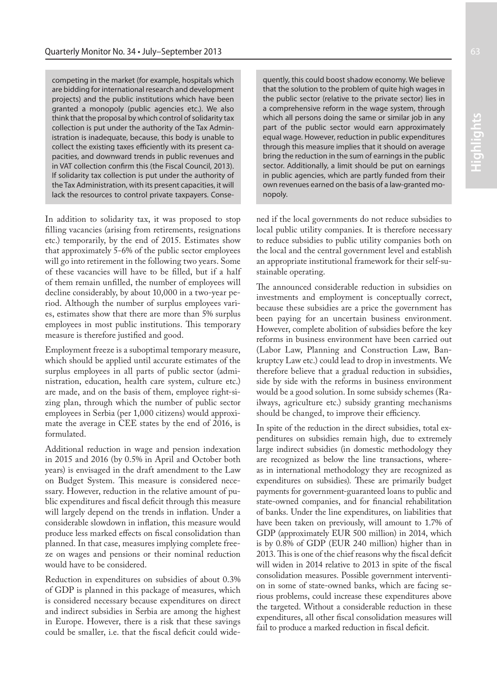competing in the market (for example, hospitals which are bidding for international research and development projects) and the public institutions which have been granted a monopoly (public agencies etc.). We also think that the proposal by which control of solidarity tax collection is put under the authority of the Tax Administration is inadequate, because, this body is unable to collect the existing taxes efficiently with its present capacities, and downward trends in public revenues and in VAT collection confirm this (the Fiscal Council, 2013). If solidarity tax collection is put under the authority of the Tax Administration, with its present capacities, it will lack the resources to control private taxpayers. Conse-

In addition to solidarity tax, it was proposed to stop filling vacancies (arising from retirements, resignations etc.) temporarily, by the end of 2015. Estimates show that approximately 5-6% of the public sector employees will go into retirement in the following two years. Some of these vacancies will have to be filled, but if a half of them remain unfilled, the number of employees will decline considerably, by about 10,000 in a two-year period. Although the number of surplus employees varies, estimates show that there are more than 5% surplus employees in most public institutions. This temporary measure is therefore justified and good.

Employment freeze is a suboptimal temporary measure, which should be applied until accurate estimates of the surplus employees in all parts of public sector (administration, education, health care system, culture etc.) are made, and on the basis of them, employee right-sizing plan, through which the number of public sector employees in Serbia (per 1,000 citizens) would approximate the average in CEE states by the end of 2016, is formulated.

Additional reduction in wage and pension indexation in 2015 and 2016 (by 0.5% in April and October both years) is envisaged in the draft amendment to the Law on Budget System. This measure is considered necessary. However, reduction in the relative amount of public expenditures and fiscal deficit through this measure will largely depend on the trends in inflation. Under a considerable slowdown in inflation, this measure would produce less marked effects on fiscal consolidation than planned. In that case, measures implying complete freeze on wages and pensions or their nominal reduction would have to be considered.

Reduction in expenditures on subsidies of about 0.3% of GDP is planned in this package of measures, which is considered necessary because expenditures on direct and indirect subsidies in Serbia are among the highest in Europe. However, there is a risk that these savings could be smaller, i.e. that the fiscal deficit could wide-

quently, this could boost shadow economy. We believe that the solution to the problem of quite high wages in the public sector (relative to the private sector) lies in a comprehensive reform in the wage system, through which all persons doing the same or similar job in any part of the public sector would earn approximately equal wage. However, reduction in public expenditures through this measure implies that it should on average bring the reduction in the sum of earnings in the public sector. Additionally, a limit should be put on earnings in public agencies, which are partly funded from their own revenues earned on the basis of a law-granted monopoly.

ned if the local governments do not reduce subsidies to local public utility companies. It is therefore necessary to reduce subsidies to public utility companies both on the local and the central government level and establish an appropriate institutional framework for their self-sustainable operating.

The announced considerable reduction in subsidies on investments and employment is conceptually correct, because these subsidies are a price the government has been paying for an uncertain business environment. However, complete abolition of subsidies before the key reforms in business environment have been carried out (Labor Law, Planning and Construction Law, Bankruptcy Law etc.) could lead to drop in investments. We therefore believe that a gradual reduction in subsidies, side by side with the reforms in business environment would be a good solution. In some subsidy schemes (Railways, agriculture etc.) subsidy granting mechanisms should be changed, to improve their efficiency.

In spite of the reduction in the direct subsidies, total expenditures on subsidies remain high, due to extremely large indirect subsidies (in domestic methodology they are recognized as below the line transactions, whereas in international methodology they are recognized as expenditures on subsidies). These are primarily budget payments for government-guaranteed loans to public and state-owned companies, and for financial rehabilitation of banks. Under the line expenditures, on liabilities that have been taken on previously, will amount to 1.7% of GDP (approximately EUR 500 million) in 2014, which is by 0.8% of GDP (EUR 240 million) higher than in 2013. This is one of the chief reasons why the fiscal deficit will widen in 2014 relative to 2013 in spite of the fiscal consolidation measures. Possible government intervention in some of state-owned banks, which are facing serious problems, could increase these expenditures above the targeted. Without a considerable reduction in these expenditures, all other fiscal consolidation measures will fail to produce a marked reduction in fiscal deficit.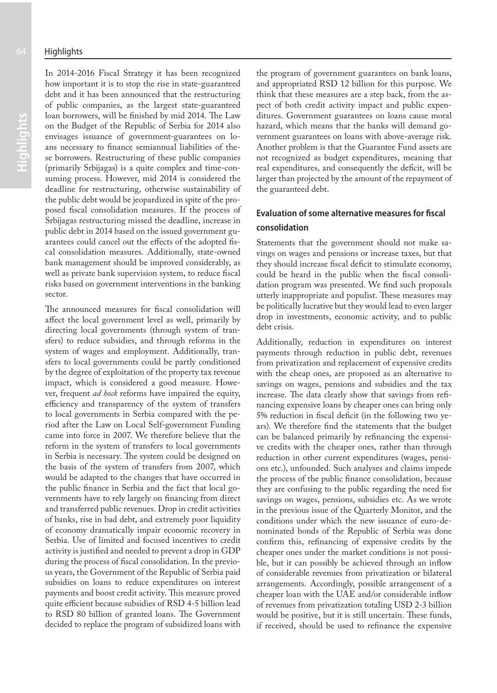In 2014-2016 Fiscal Strategy it has been recognized how important it is to stop the rise in state-guaranteed debt and it has been announced that the restructuring of public companies, as the largest state-guaranteed loan borrowers, will be finished by mid 2014. The Law on the Budget of the Republic of Serbia for 2014 also envisages issuance of government-guarantees on loans necessary to finance semiannual liabilities of these borrowers. Restructuring of these public companies (primarily Srbijagas) is a quite complex and time-consuming process. However, mid 2014 is considered the deadline for restructuring, otherwise sustainability of the public debt would be jeopardized in spite of the proposed fiscal consolidation measures. If the process of Srbijagas restructuring missed the deadline, increase in public debt in 2014 based on the issued government guarantees could cancel out the effects of the adopted fiscal consolidation measures. Additionally, state-owned bank management should be improved considerably, as well as private bank supervision system, to reduce fiscal risks based on government interventions in the banking sector.

The announced measures for fiscal consolidation will affect the local government level as well, primarily by directing local governments (through system of transfers) to reduce subsidies, and through reforms in the system of wages and employment. Additionally, transfers to local governments could be partly conditioned by the degree of exploitation of the property tax revenue impact, which is considered a good measure. However, frequent *ad hock* reforms have impaired the equity, efficiency and transparency of the system of transfers to local governments in Serbia compared with the period after the Law on Local Self-government Funding came into force in 2007. We therefore believe that the reform in the system of transfers to local governments in Serbia is necessary. The system could be designed on the basis of the system of transfers from 2007, which would be adapted to the changes that have occurred in the public finance in Serbia and the fact that local governments have to rely largely on financing from direct and transferred public revenues. Drop in credit activities of banks, rise in bad debt, and extremely poor liquidity of economy dramatically impair economic recovery in Serbia. Use of limited and focused incentives to credit activity is justified and needed to prevent a drop in GDP during the process of fiscal consolidation. In the previous years, the Government of the Republic of Serbia paid subsidies on loans to reduce expenditures on interest payments and boost credit activity. This measure proved quite efficient because subsidies of RSD 4-5 billion lead to RSD 80 billion of granted loans. The Government decided to replace the program of subsidized loans with the program of government guarantees on bank loans, and appropriated RSD 12 billion for this purpose. We think that these measures are a step back, from the aspect of both credit activity impact and public expenditures. Government guarantees on loans cause moral hazard, which means that the banks will demand government guarantees on loans with above-average risk. Another problem is that the Guarantee Fund assets are not recognized as budget expenditures, meaning that real expenditures, and consequently the deficit, will be larger than projected by the amount of the repayment of the guaranteed debt.

## **Evaluation of some alternative measures for fiscal consolidation**

Statements that the government should not make savings on wages and pensions or increase taxes, but that they should increase fiscal deficit to stimulate economy, could be heard in the public when the fiscal consolidation program was presented. We find such proposals utterly inappropriate and populist. These measures may be politically lucrative but they would lead to even larger drop in investments, economic activity, and to public debt crisis.

Additionally, reduction in expenditures on interest payments through reduction in public debt, revenues from privatization and replacement of expensive credits with the cheap ones, are proposed as an alternative to savings on wages, pensions and subsidies and the tax increase. The data clearly show that savings from refinancing expensive loans by cheaper ones can bring only 5% reduction in fiscal deficit (in the following two years). We therefore find the statements that the budget can be balanced primarily by refinancing the expensive credits with the cheaper ones, rather than through reduction in other current expenditures (wages, pensions etc.), unfounded. Such analyses and claims impede the process of the public finance consolidation, because they are confusing to the public regarding the need for savings on wages, pensions, subsidies etc. As we wrote in the previous issue of the Quarterly Monitor, and the conditions under which the new issuance of euro-denominated bonds of the Republic of Serbia was done confirm this, refinancing of expensive credits by the cheaper ones under the market conditions is not possible, but it can possibly be achieved through an inflow of considerable revenues from privatization or bilateral arrangements. Accordingly, possible arrangement of a cheaper loan with the UAE and/or considerable inflow of revenues from privatization totaling USD 2-3 billion would be positive, but it is still uncertain. These funds, if received, should be used to refinance the expensive